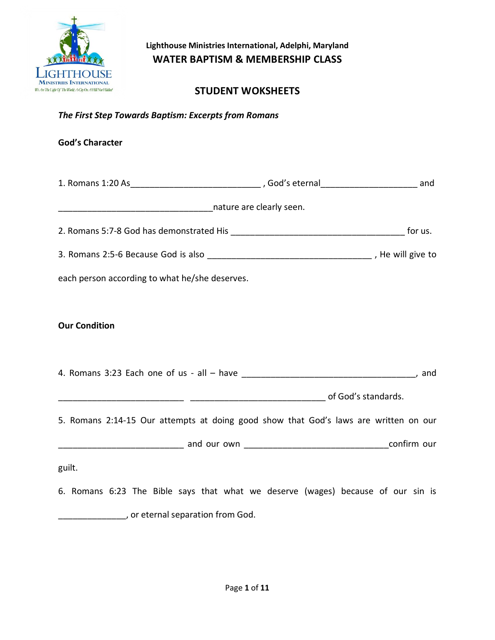

## **STUDENT WOKSHEETS**

*The First Step Towards Baptism: Excerpts from Romans*

#### **God's Character**

|                                                                                      | for us. |
|--------------------------------------------------------------------------------------|---------|
|                                                                                      |         |
| each person according to what he/she deserves.                                       |         |
|                                                                                      |         |
| <b>Our Condition</b>                                                                 |         |
|                                                                                      |         |
|                                                                                      |         |
|                                                                                      |         |
| 5. Romans 2:14-15 Our attempts at doing good show that God's laws are written on our |         |
|                                                                                      |         |
| guilt.                                                                               |         |
| 6. Romans 6:23 The Bible says that what we deserve (wages) because of our sin is     |         |
| , or eternal separation from God.                                                    |         |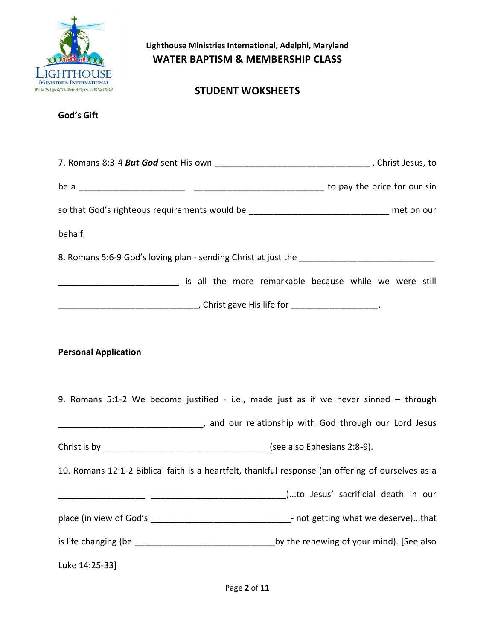

# **STUDENT WOKSHEETS**

| so that God's righteous requirements would be _________________________________ met on our                |  |
|-----------------------------------------------------------------------------------------------------------|--|
| behalf.                                                                                                   |  |
|                                                                                                           |  |
| is all the more remarkable because while we were still in the more remarkable because while we were still |  |
|                                                                                                           |  |
|                                                                                                           |  |
| <b>Personal Application</b>                                                                               |  |
| 9. Romans 5:1-2 We become justified - i.e., made just as if we never sinned - through                     |  |
|                                                                                                           |  |
|                                                                                                           |  |
| 10. Romans 12:1-2 Biblical faith is a heartfelt, thankful response (an offering of ourselves as a         |  |
|                                                                                                           |  |
| place (in view of God's __________________________________- not getting what we deserve)that              |  |
|                                                                                                           |  |
| Luke 14:25-33]                                                                                            |  |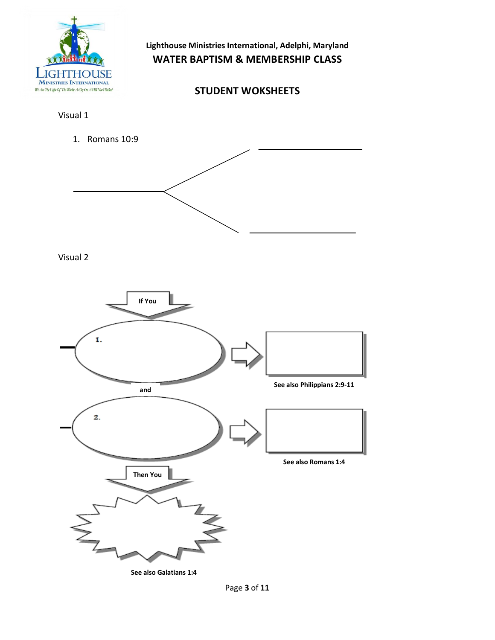

## **STUDENT WOKSHEETS**

Visual 1

1. Romans 10:9



Visual 2



Page **3** of **11**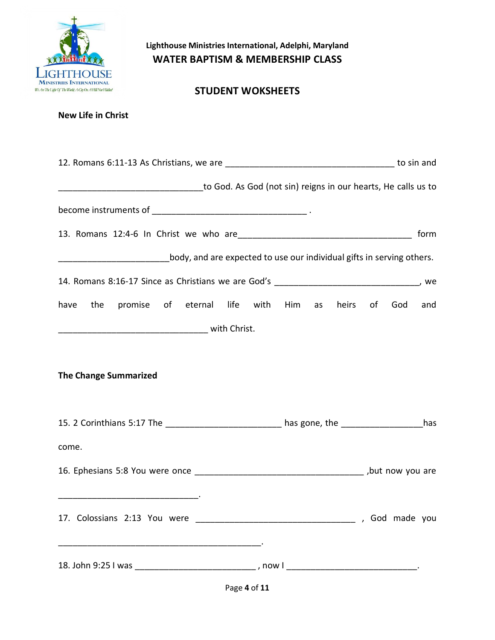

**New Life in Christ**

**Lighthouse Ministries International, Adelphi, Maryland WATER BAPTISM & MEMBERSHIP CLASS**

### **STUDENT WOKSHEETS**

| to God. As God (not sin) reigns in our hearts, He calls us to menter-                             |                  |  |
|---------------------------------------------------------------------------------------------------|------------------|--|
|                                                                                                   |                  |  |
|                                                                                                   | form             |  |
| ____________________________body, and are expected to use our individual gifts in serving others. |                  |  |
|                                                                                                   |                  |  |
| have the promise of eternal life with Him as                                                      | heirs of God and |  |
|                                                                                                   |                  |  |
|                                                                                                   |                  |  |
| <b>The Change Summarized</b>                                                                      |                  |  |
| 15. 2 Corinthians 5:17 The __________________________ has gone, the ______________________has     |                  |  |
| come.                                                                                             |                  |  |
|                                                                                                   |                  |  |
|                                                                                                   |                  |  |
|                                                                                                   |                  |  |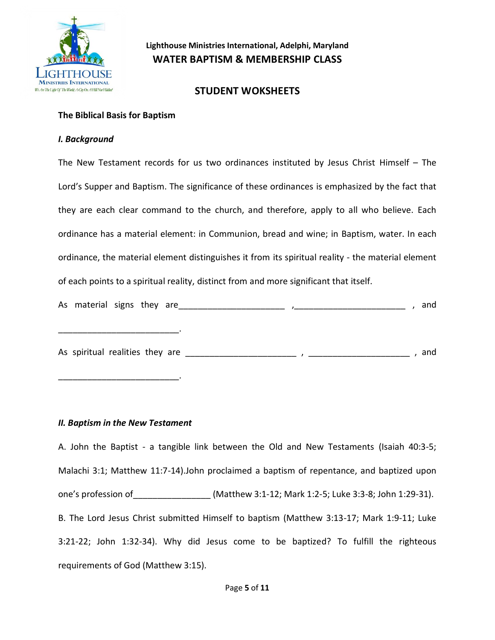

#### **STUDENT WOKSHEETS**

#### **The Biblical Basis for Baptism**

#### *I. Background*

The New Testament records for us two ordinances instituted by Jesus Christ Himself – The Lord's Supper and Baptism. The significance of these ordinances is emphasized by the fact that they are each clear command to the church, and therefore, apply to all who believe. Each ordinance has a material element: in Communion, bread and wine; in Baptism, water. In each ordinance, the material element distinguishes it from its spiritual reality - the material element of each points to a spiritual reality, distinct from and more significant that itself.

| As material signs they are      |  |  |  | and |
|---------------------------------|--|--|--|-----|
|                                 |  |  |  |     |
| As spiritual realities they are |  |  |  | and |

#### *II. Baptism in the New Testament*

\_\_\_\_\_\_\_\_\_\_\_\_\_\_\_\_\_\_\_\_\_\_\_\_\_.

A. John the Baptist - a tangible link between the Old and New Testaments (Isaiah 40:3-5; Malachi 3:1; Matthew 11:7-14).John proclaimed a baptism of repentance, and baptized upon one's profession of\_\_\_\_\_\_\_\_\_\_\_\_\_\_\_\_ (Matthew 3:1-12; Mark 1:2-5; Luke 3:3-8; John 1:29-31). B. The Lord Jesus Christ submitted Himself to baptism (Matthew 3:13-17; Mark 1:9-11; Luke 3:21-22; John 1:32-34). Why did Jesus come to be baptized? To fulfill the righteous requirements of God (Matthew 3:15).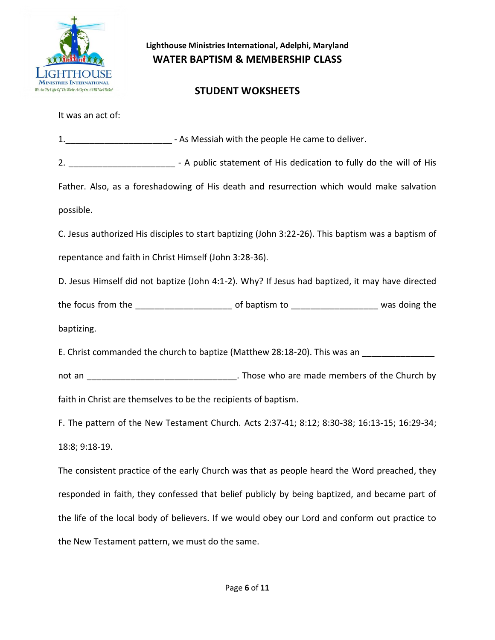

### **STUDENT WOKSHEETS**

It was an act of:

|                                                        | 1. ____________________________- - As Messiah with the people He came to deliver.                       |  |
|--------------------------------------------------------|---------------------------------------------------------------------------------------------------------|--|
|                                                        | 2. _________________________________ - A public statement of His dedication to fully do the will of His |  |
|                                                        | Father. Also, as a foreshadowing of His death and resurrection which would make salvation               |  |
| possible.                                              |                                                                                                         |  |
|                                                        | C. Jesus authorized His disciples to start baptizing (John 3:22-26). This baptism was a baptism of      |  |
| repentance and faith in Christ Himself (John 3:28-36). |                                                                                                         |  |
|                                                        | D. Jesus Himself did not baptize (John 4:1-2). Why? If Jesus had baptized, it may have directed         |  |
|                                                        |                                                                                                         |  |
| baptizing.                                             |                                                                                                         |  |
|                                                        | E. Christ commanded the church to baptize (Matthew 28:18-20). This was an ______________                |  |
|                                                        |                                                                                                         |  |
|                                                        | faith in Christ are themselves to be the recipients of baptism.                                         |  |
|                                                        | F. The pattern of the New Testament Church. Acts 2:37-41; 8:12; 8:30-38; 16:13-15; 16:29-34;            |  |
| 18:8; 9:18-19.                                         |                                                                                                         |  |
|                                                        | The consistent practice of the early Church was that as people heard the Word preached, they            |  |
|                                                        | responded in faith, they confessed that belief publicly by being baptized, and became part of           |  |
|                                                        | the life of the local body of believers. If we would obey our Lord and conform out practice to          |  |

the New Testament pattern, we must do the same.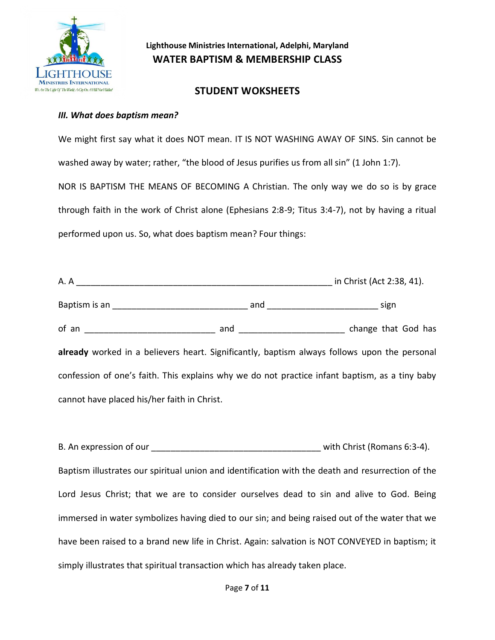

#### **STUDENT WOKSHEETS**

#### *III. What does baptism mean?*

We might first say what it does NOT mean. IT IS NOT WASHING AWAY OF SINS. Sin cannot be washed away by water; rather, "the blood of Jesus purifies us from all sin" (1 John 1:7). NOR IS BAPTISM THE MEANS OF BECOMING A Christian. The only way we do so is by grace through faith in the work of Christ alone (Ephesians 2:8-9; Titus 3:4-7), not by having a ritual performed upon us. So, what does baptism mean? Four things:

|                                             |                                                                                                | in Christ (Act 2:38, 41). |
|---------------------------------------------|------------------------------------------------------------------------------------------------|---------------------------|
|                                             |                                                                                                |                           |
|                                             |                                                                                                |                           |
|                                             | already worked in a believers heart. Significantly, baptism always follows upon the personal   |                           |
|                                             | confession of one's faith. This explains why we do not practice infant baptism, as a tiny baby |                           |
| cannot have placed his/her faith in Christ. |                                                                                                |                           |

B. An expression of our expression of our expression of the set of the set of the set of the set of the set of the set of the set of the set of the set of the set of the set of the set of the set of the set of the set of t Baptism illustrates our spiritual union and identification with the death and resurrection of the Lord Jesus Christ; that we are to consider ourselves dead to sin and alive to God. Being immersed in water symbolizes having died to our sin; and being raised out of the water that we have been raised to a brand new life in Christ. Again: salvation is NOT CONVEYED in baptism; it simply illustrates that spiritual transaction which has already taken place.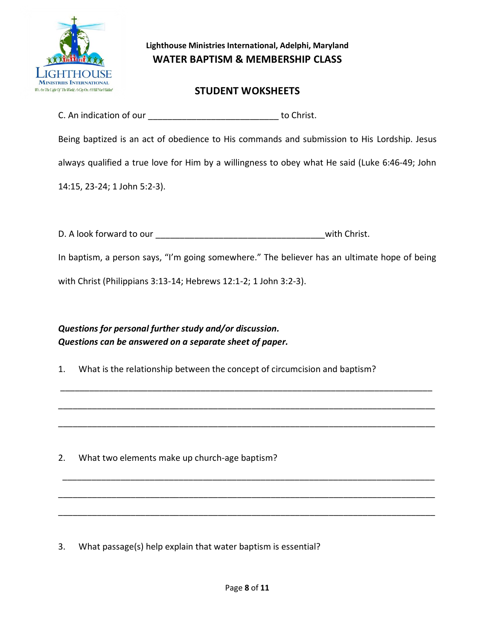

### **STUDENT WOKSHEETS**

C. An indication of our \_\_\_\_\_\_\_\_\_\_\_\_\_\_\_\_\_\_\_\_\_\_\_\_\_\_\_ to Christ.

Being baptized is an act of obedience to His commands and submission to His Lordship. Jesus

always qualified a true love for Him by a willingness to obey what He said (Luke 6:46-49; John

14:15, 23-24; 1 John 5:2-3).

D. A look forward to our \_\_\_\_\_\_\_\_\_\_\_\_\_\_\_\_\_\_\_\_\_\_\_\_\_\_\_\_\_\_\_\_\_\_\_with Christ.

In baptism, a person says, "I'm going somewhere." The believer has an ultimate hope of being

\_\_\_\_\_\_\_\_\_\_\_\_\_\_\_\_\_\_\_\_\_\_\_\_\_\_\_\_\_\_\_\_\_\_\_\_\_\_\_\_\_\_\_\_\_\_\_\_\_\_\_\_\_\_\_\_\_\_\_\_\_\_\_\_\_\_\_\_\_\_\_\_\_\_\_\_\_

\_\_\_\_\_\_\_\_\_\_\_\_\_\_\_\_\_\_\_\_\_\_\_\_\_\_\_\_\_\_\_\_\_\_\_\_\_\_\_\_\_\_\_\_\_\_\_\_\_\_\_\_\_\_\_\_\_\_\_\_\_\_\_\_\_\_\_\_\_\_\_\_\_\_\_\_\_\_

\_\_\_\_\_\_\_\_\_\_\_\_\_\_\_\_\_\_\_\_\_\_\_\_\_\_\_\_\_\_\_\_\_\_\_\_\_\_\_\_\_\_\_\_\_\_\_\_\_\_\_\_\_\_\_\_\_\_\_\_\_\_\_\_\_\_\_\_\_\_\_\_\_\_\_\_\_\_

\_\_\_\_\_\_\_\_\_\_\_\_\_\_\_\_\_\_\_\_\_\_\_\_\_\_\_\_\_\_\_\_\_\_\_\_\_\_\_\_\_\_\_\_\_\_\_\_\_\_\_\_\_\_\_\_\_\_\_\_\_\_\_\_\_\_\_\_\_\_\_\_\_\_\_\_\_

\_\_\_\_\_\_\_\_\_\_\_\_\_\_\_\_\_\_\_\_\_\_\_\_\_\_\_\_\_\_\_\_\_\_\_\_\_\_\_\_\_\_\_\_\_\_\_\_\_\_\_\_\_\_\_\_\_\_\_\_\_\_\_\_\_\_\_\_\_\_\_\_\_\_\_\_\_\_

\_\_\_\_\_\_\_\_\_\_\_\_\_\_\_\_\_\_\_\_\_\_\_\_\_\_\_\_\_\_\_\_\_\_\_\_\_\_\_\_\_\_\_\_\_\_\_\_\_\_\_\_\_\_\_\_\_\_\_\_\_\_\_\_\_\_\_\_\_\_\_\_\_\_\_\_\_\_

with Christ (Philippians 3:13-14; Hebrews 12:1-2; 1 John 3:2-3).

## *Questions for personal further study and/or discussion. Questions can be answered on a separate sheet of paper.*

1. What is the relationship between the concept of circumcision and baptism?

2. What two elements make up church-age baptism?

3. What passage(s) help explain that water baptism is essential?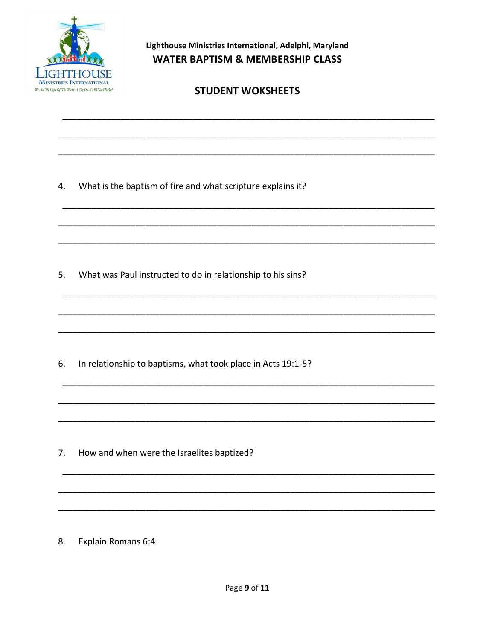

# **STUDENT WOKSHEETS**

4. What is the baptism of fire and what scripture explains it?

5. What was Paul instructed to do in relationship to his sins?

6. In relationship to baptisms, what took place in Acts 19:1-5?

7. How and when were the Israelites baptized?

**Explain Romans 6:4** 8.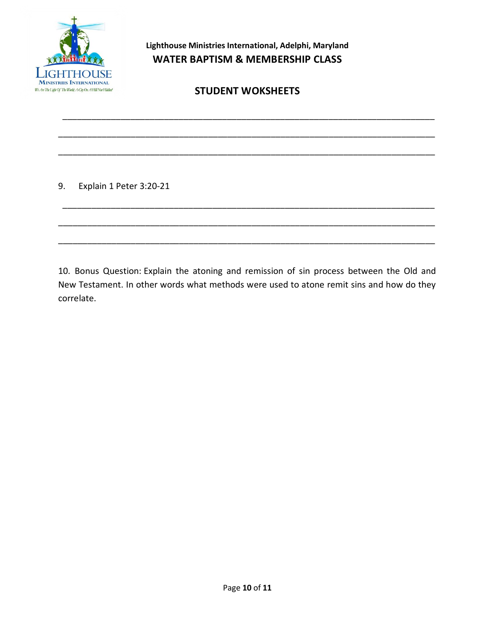

# **STUDENT WOKSHEETS**

\_\_\_\_\_\_\_\_\_\_\_\_\_\_\_\_\_\_\_\_\_\_\_\_\_\_\_\_\_\_\_\_\_\_\_\_\_\_\_\_\_\_\_\_\_\_\_\_\_\_\_\_\_\_\_\_\_\_\_\_\_\_\_\_\_\_\_\_\_\_\_\_\_\_\_\_\_

\_\_\_\_\_\_\_\_\_\_\_\_\_\_\_\_\_\_\_\_\_\_\_\_\_\_\_\_\_\_\_\_\_\_\_\_\_\_\_\_\_\_\_\_\_\_\_\_\_\_\_\_\_\_\_\_\_\_\_\_\_\_\_\_\_\_\_\_\_\_\_\_\_\_\_\_\_\_

\_\_\_\_\_\_\_\_\_\_\_\_\_\_\_\_\_\_\_\_\_\_\_\_\_\_\_\_\_\_\_\_\_\_\_\_\_\_\_\_\_\_\_\_\_\_\_\_\_\_\_\_\_\_\_\_\_\_\_\_\_\_\_\_\_\_\_\_\_\_\_\_\_\_\_\_\_\_

\_\_\_\_\_\_\_\_\_\_\_\_\_\_\_\_\_\_\_\_\_\_\_\_\_\_\_\_\_\_\_\_\_\_\_\_\_\_\_\_\_\_\_\_\_\_\_\_\_\_\_\_\_\_\_\_\_\_\_\_\_\_\_\_\_\_\_\_\_\_\_\_\_\_\_\_\_

\_\_\_\_\_\_\_\_\_\_\_\_\_\_\_\_\_\_\_\_\_\_\_\_\_\_\_\_\_\_\_\_\_\_\_\_\_\_\_\_\_\_\_\_\_\_\_\_\_\_\_\_\_\_\_\_\_\_\_\_\_\_\_\_\_\_\_\_\_\_\_\_\_\_\_\_\_\_

\_\_\_\_\_\_\_\_\_\_\_\_\_\_\_\_\_\_\_\_\_\_\_\_\_\_\_\_\_\_\_\_\_\_\_\_\_\_\_\_\_\_\_\_\_\_\_\_\_\_\_\_\_\_\_\_\_\_\_\_\_\_\_\_\_\_\_\_\_\_\_\_\_\_\_\_\_\_

9. Explain 1 Peter 3:20-21

10. Bonus Question: Explain the atoning and remission of sin process between the Old and New Testament. In other words what methods were used to atone remit sins and how do they correlate.